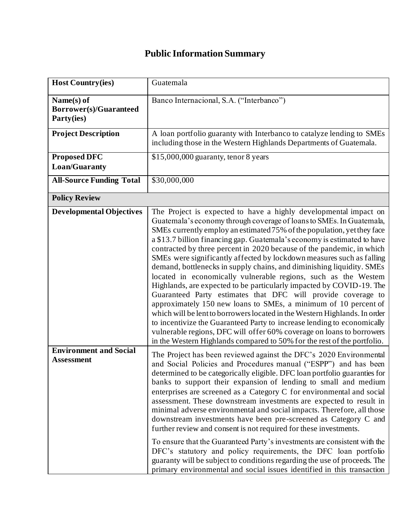## **Public Information Summary**

| <b>Host Country(ies)</b>                                  | Guatemala                                                                                                                                                                                                                                                                                                                                                                                                                                                                                                                                                                                                                                                                                                                                                                                                                                                                                                                                                                                                                                                                                                            |
|-----------------------------------------------------------|----------------------------------------------------------------------------------------------------------------------------------------------------------------------------------------------------------------------------------------------------------------------------------------------------------------------------------------------------------------------------------------------------------------------------------------------------------------------------------------------------------------------------------------------------------------------------------------------------------------------------------------------------------------------------------------------------------------------------------------------------------------------------------------------------------------------------------------------------------------------------------------------------------------------------------------------------------------------------------------------------------------------------------------------------------------------------------------------------------------------|
| Name(s) of<br><b>Borrower(s)/Guaranteed</b><br>Party(ies) | Banco Internacional, S.A. ("Interbanco")                                                                                                                                                                                                                                                                                                                                                                                                                                                                                                                                                                                                                                                                                                                                                                                                                                                                                                                                                                                                                                                                             |
| <b>Project Description</b>                                | A loan portfolio guaranty with Interbanco to catalyze lending to SMEs<br>including those in the Western Highlands Departments of Guatemala.                                                                                                                                                                                                                                                                                                                                                                                                                                                                                                                                                                                                                                                                                                                                                                                                                                                                                                                                                                          |
| <b>Proposed DFC</b><br>Loan/Guaranty                      | $$15,000,000$ guaranty, tenor 8 years                                                                                                                                                                                                                                                                                                                                                                                                                                                                                                                                                                                                                                                                                                                                                                                                                                                                                                                                                                                                                                                                                |
| <b>All-Source Funding Total</b>                           | \$30,000,000                                                                                                                                                                                                                                                                                                                                                                                                                                                                                                                                                                                                                                                                                                                                                                                                                                                                                                                                                                                                                                                                                                         |
| <b>Policy Review</b>                                      |                                                                                                                                                                                                                                                                                                                                                                                                                                                                                                                                                                                                                                                                                                                                                                                                                                                                                                                                                                                                                                                                                                                      |
| <b>Developmental Objectives</b>                           | The Project is expected to have a highly developmental impact on<br>Guatemala's economy through coverage of loans to SMEs. In Guatemala,<br>SMEs currently employ an estimated 75% of the population, yet they face<br>a \$13.7 billion financing gap. Guatemala's economy is estimated to have<br>contracted by three percent in 2020 because of the pandemic, in which<br>SMEs were significantly affected by lockdown measures such as falling<br>demand, bottlenecks in supply chains, and diminishing liquidity. SMEs<br>located in economically vulnerable regions, such as the Westem<br>Highlands, are expected to be particularly impacted by COVID-19. The<br>Guaranteed Party estimates that DFC will provide coverage to<br>approximately 150 new loans to SMEs, a minimum of 10 percent of<br>which will be lent to borrowers located in the Western Highlands. In order<br>to incentivize the Guaranteed Party to increase lending to economically<br>vulnerable regions, DFC will offer 60% coverage on loans to borrowers<br>in the Western Highlands compared to 50% for the rest of the portfolio. |
| <b>Environment and Social</b><br><b>Assessment</b>        | The Project has been reviewed against the DFC's 2020 Environmental<br>and Social Policies and Procedures manual ("ESPP") and has been<br>determined to be categorically eligible. DFC loan portfolio guaranties for<br>banks to support their expansion of lending to small and medium<br>enterprises are screened as a Category C for environmental and social<br>assessment. These downstream investments are expected to result in<br>minimal adverse environmental and social impacts. Therefore, all those<br>downstream investments have been pre-screened as Category C and<br>further review and consent is not required for these investments.<br>To ensure that the Guaranteed Party's investments are consistent with the<br>DFC's statutory and policy requirements, the DFC loan portfolio<br>guaranty will be subject to conditions regarding the use of proceeds. The<br>primary environmental and social issues identified in this transaction                                                                                                                                                       |